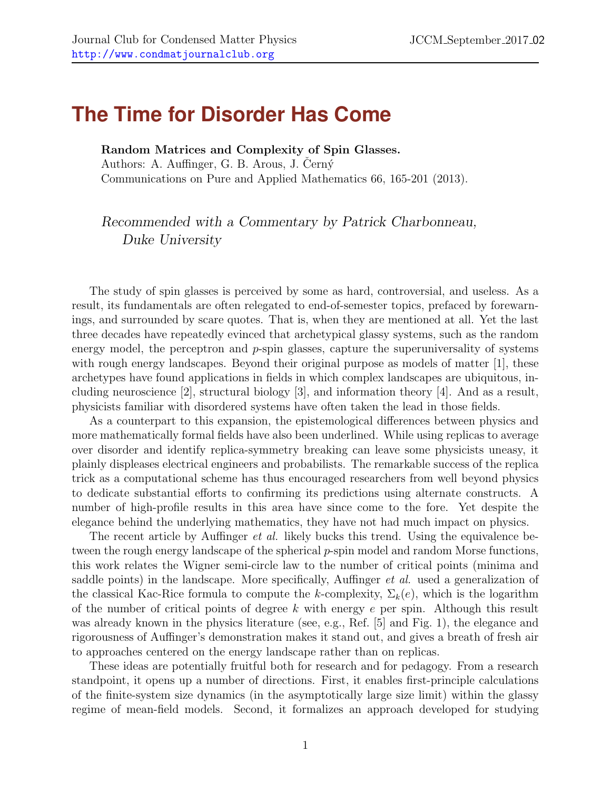## **The Time for Disorder Has Come**

Random Matrices and Complexity of Spin Glasses. Authors: A. Auffinger, G. B. Arous, J. Cerný Communications on Pure and Applied Mathematics 66, 165-201 (2013).

## Recommended with a Commentary by Patrick Charbonneau, Duke University

The study of spin glasses is perceived by some as hard, controversial, and useless. As a result, its fundamentals are often relegated to end-of-semester topics, prefaced by forewarnings, and surrounded by scare quotes. That is, when they are mentioned at all. Yet the last three decades have repeatedly evinced that archetypical glassy systems, such as the random energy model, the perceptron and  $p$ -spin glasses, capture the superuniversality of systems with rough energy landscapes. Beyond their original purpose as models of matter [\[1\]](#page-1-0), these archetypes have found applications in fields in which complex landscapes are ubiquitous, including neuroscience [\[2\]](#page-2-0), structural biology [\[3\]](#page-2-1), and information theory [\[4\]](#page-2-2). And as a result, physicists familiar with disordered systems have often taken the lead in those fields.

As a counterpart to this expansion, the epistemological differences between physics and more mathematically formal fields have also been underlined. While using replicas to average over disorder and identify replica-symmetry breaking can leave some physicists uneasy, it plainly displeases electrical engineers and probabilists. The remarkable success of the replica trick as a computational scheme has thus encouraged researchers from well beyond physics to dedicate substantial efforts to confirming its predictions using alternate constructs. A number of high-profile results in this area have since come to the fore. Yet despite the elegance behind the underlying mathematics, they have not had much impact on physics.

The recent article by Auffinger *et al.* likely bucks this trend. Using the equivalence between the rough energy landscape of the spherical p-spin model and random Morse functions, this work relates the Wigner semi-circle law to the number of critical points (minima and saddle points) in the landscape. More specifically, Auffinger *et al.* used a generalization of the classical Kac-Rice formula to compute the k-complexity,  $\Sigma_k(e)$ , which is the logarithm of the number of critical points of degree  $k$  with energy  $e$  per spin. Although this result was already known in the physics literature (see, e.g., Ref. [\[5\]](#page-2-3) and Fig. [1\)](#page-1-1), the elegance and rigorousness of Auffinger's demonstration makes it stand out, and gives a breath of fresh air to approaches centered on the energy landscape rather than on replicas.

These ideas are potentially fruitful both for research and for pedagogy. From a research standpoint, it opens up a number of directions. First, it enables first-principle calculations of the finite-system size dynamics (in the asymptotically large size limit) within the glassy regime of mean-field models. Second, it formalizes an approach developed for studying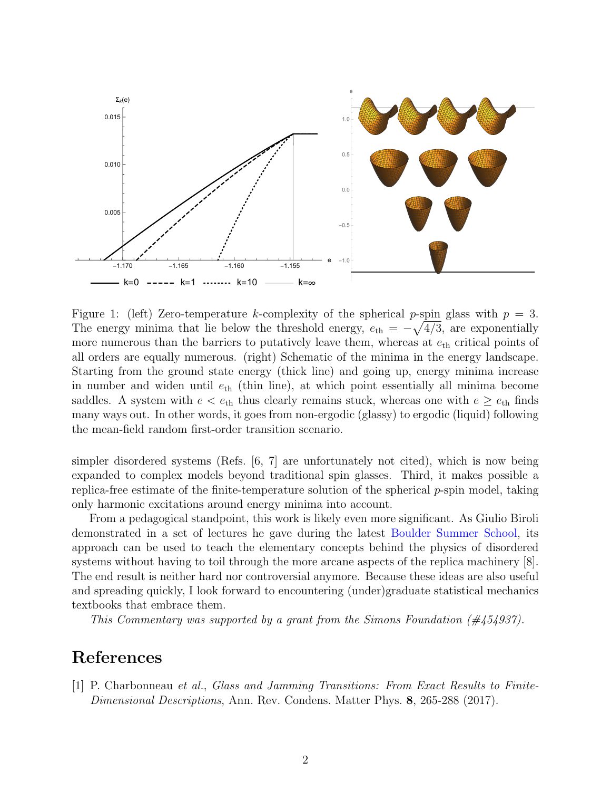

<span id="page-1-1"></span>Figure 1: (left) Zero-temperature k-complexity of the spherical p-spin glass with  $p = 3$ . The energy minima that lie below the threshold energy,  $e_{\text{th}} = -\sqrt{4/3}$ , are exponentially more numerous than the barriers to putatively leave them, whereas at  $e_{\text{th}}$  critical points of all orders are equally numerous. (right) Schematic of the minima in the energy landscape. Starting from the ground state energy (thick line) and going up, energy minima increase in number and widen until  $e_{th}$  (thin line), at which point essentially all minima become saddles. A system with  $e < e_{\text{th}}$  thus clearly remains stuck, whereas one with  $e \ge e_{\text{th}}$  finds many ways out. In other words, it goes from non-ergodic (glassy) to ergodic (liquid) following the mean-field random first-order transition scenario.

simpler disordered systems (Refs. [\[6,](#page-2-4) [7\]](#page-2-5) are unfortunately not cited), which is now being expanded to complex models beyond traditional spin glasses. Third, it makes possible a replica-free estimate of the finite-temperature solution of the spherical  $p$ -spin model, taking only harmonic excitations around energy minima into account.

From a pedagogical standpoint, this work is likely even more significant. As Giulio Biroli demonstrated in a set of lectures he gave during the latest [Boulder Summer School,](http://boulderschool.yale.edu/2017/boulder-school-2017) its approach can be used to teach the elementary concepts behind the physics of disordered systems without having to toil through the more arcane aspects of the replica machinery [\[8\]](#page-2-6). The end result is neither hard nor controversial anymore. Because these ideas are also useful and spreading quickly, I look forward to encountering (under)graduate statistical mechanics textbooks that embrace them.

This Commentary was supported by a grant from the Simons Foundation (#454937).

## References

<span id="page-1-0"></span>[1] P. Charbonneau et al., Glass and Jamming Transitions: From Exact Results to Finite-Dimensional Descriptions, Ann. Rev. Condens. Matter Phys. 8, 265-288 (2017).